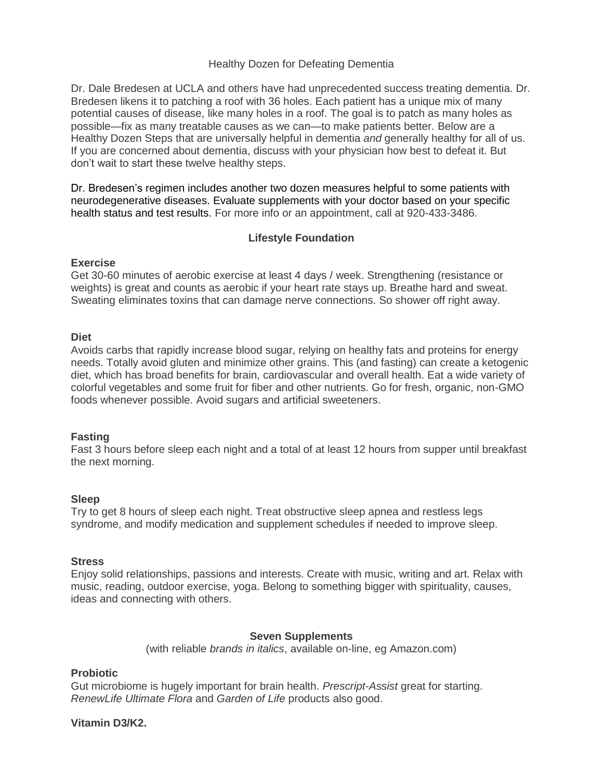## Healthy Dozen for Defeating Dementia

Dr. Dale Bredesen at UCLA and others have had unprecedented success treating dementia. Dr. Bredesen likens it to patching a roof with 36 holes. Each patient has a unique mix of many potential causes of disease, like many holes in a roof. The goal is to patch as many holes as possible—fix as many treatable causes as we can—to make patients better. Below are a Healthy Dozen Steps that are universally helpful in dementia *and* generally healthy for all of us. If you are concerned about dementia, discuss with your physician how best to defeat it. But don't wait to start these twelve healthy steps.

Dr. Bredesen's regimen includes another two dozen measures helpful to some patients with neurodegenerative diseases. Evaluate supplements with your doctor based on your specific health status and test results. For more info or an appointment, call at 920-433-3486.

# **Lifestyle Foundation**

## **Exercise**

Get 30-60 minutes of aerobic exercise at least 4 days / week. Strengthening (resistance or weights) is great and counts as aerobic if your heart rate stays up. Breathe hard and sweat. Sweating eliminates toxins that can damage nerve connections. So shower off right away.

## **Diet**

Avoids carbs that rapidly increase blood sugar, relying on healthy fats and proteins for energy needs. Totally avoid gluten and minimize other grains. This (and fasting) can create a ketogenic diet, which has broad benefits for brain, cardiovascular and overall health. Eat a wide variety of colorful vegetables and some fruit for fiber and other nutrients. Go for fresh, organic, non-GMO foods whenever possible. Avoid sugars and artificial sweeteners.

# **Fasting**

Fast 3 hours before sleep each night and a total of at least 12 hours from supper until breakfast the next morning.

# **Sleep**

Try to get 8 hours of sleep each night. Treat obstructive sleep apnea and restless legs syndrome, and modify medication and supplement schedules if needed to improve sleep.

### **Stress**

Enjoy solid relationships, passions and interests. Create with music, writing and art. Relax with music, reading, outdoor exercise, yoga. Belong to something bigger with spirituality, causes, ideas and connecting with others.

### **Seven Supplements**

(with reliable *brands in italics*, available on-line, eg Amazon.com)

### **Probiotic**

Gut microbiome is hugely important for brain health. *Prescript-Assist* great for starting. *RenewLife Ultimate Flora* and *Garden of Life* products also good.

**Vitamin D3/K2.**